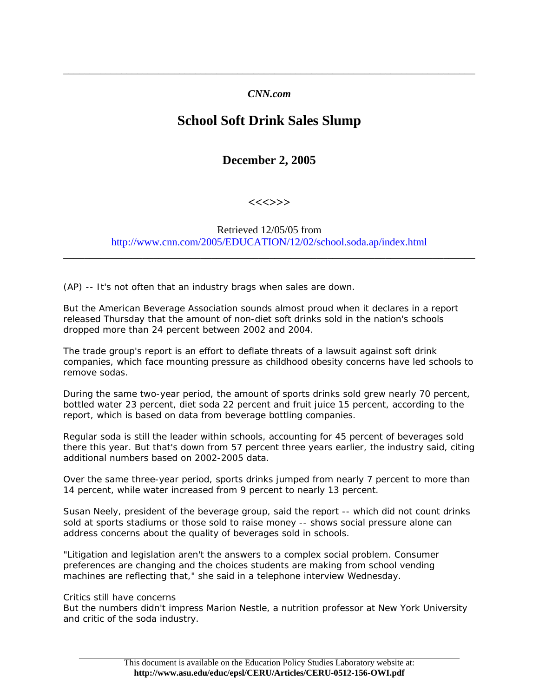## *CNN.com*

\_\_\_\_\_\_\_\_\_\_\_\_\_\_\_\_\_\_\_\_\_\_\_\_\_\_\_\_\_\_\_\_\_\_\_\_\_\_\_\_\_\_\_\_\_\_\_\_\_\_\_\_\_\_\_\_\_\_\_\_\_\_\_\_\_\_\_\_\_\_\_\_\_\_\_\_\_\_

## **School Soft Drink Sales Slump**

**December 2, 2005** 

**<<<>>>** 

Retrieved 12/05/05 from http://www.cnn.com/2005/EDUCATION/12/02/school.soda.ap/index.html

\_\_\_\_\_\_\_\_\_\_\_\_\_\_\_\_\_\_\_\_\_\_\_\_\_\_\_\_\_\_\_\_\_\_\_\_\_\_\_\_\_\_\_\_\_\_\_\_\_\_\_\_\_\_\_\_\_\_\_\_\_\_\_\_\_\_\_\_\_\_\_\_\_\_\_\_\_\_

(AP) -- It's not often that an industry brags when sales are down.

But the American Beverage Association sounds almost proud when it declares in a report released Thursday that the amount of non-diet soft drinks sold in the nation's schools dropped more than 24 percent between 2002 and 2004.

The trade group's report is an effort to deflate threats of a lawsuit against soft drink companies, which face mounting pressure as childhood obesity concerns have led schools to remove sodas.

During the same two-year period, the amount of sports drinks sold grew nearly 70 percent, bottled water 23 percent, diet soda 22 percent and fruit juice 15 percent, according to the report, which is based on data from beverage bottling companies.

Regular soda is still the leader within schools, accounting for 45 percent of beverages sold there this year. But that's down from 57 percent three years earlier, the industry said, citing additional numbers based on 2002-2005 data.

Over the same three-year period, sports drinks jumped from nearly 7 percent to more than 14 percent, while water increased from 9 percent to nearly 13 percent.

Susan Neely, president of the beverage group, said the report -- which did not count drinks sold at sports stadiums or those sold to raise money -- shows social pressure alone can address concerns about the quality of beverages sold in schools.

"Litigation and legislation aren't the answers to a complex social problem. Consumer preferences are changing and the choices students are making from school vending machines are reflecting that," she said in a telephone interview Wednesday.

Critics still have concerns

But the numbers didn't impress Marion Nestle, a nutrition professor at New York University and critic of the soda industry.